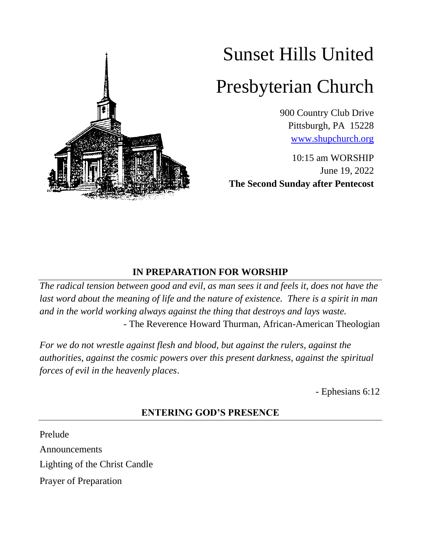

# Sunset Hills United

# Presbyterian Church

900 Country Club Drive Pittsburgh, PA 15228 [www.shupchurch.org](http://www.shupchurch.org/)

10:15 am WORSHIP June 19, 2022 **The Second Sunday after Pentecost**

### **IN PREPARATION FOR WORSHIP**

*The radical tension between good and evil, as man sees it and feels it, does not have the*  last word about the meaning of life and the nature of existence. There is a spirit in man *and in the world working always against the thing that destroys and lays waste.* - The Reverence Howard Thurman, African-American Theologian

For we do not wrestle against flesh and blood, but against the rulers, against the *authorities, against the cosmic powers over this present darkness, against the spiritual forces of evil in the heavenly places*.

- Ephesians 6:12

## **ENTERING GOD'S PRESENCE**

Prelude Announcements Lighting of the Christ Candle Prayer of Preparation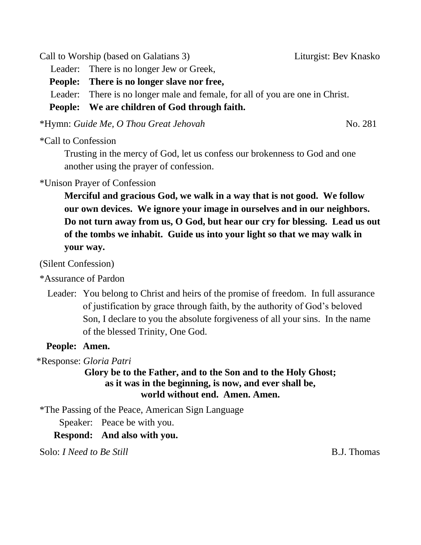Call to Worship (based on Galatians 3) Liturgist: Bev Knasko

Leader: There is no longer Jew or Greek,

**People: There is no longer slave nor free,**

Leader: There is no longer male and female, for all of you are one in Christ.

**People: We are children of God through faith.**

\*Hymn: *Guide Me, O Thou Great Jehovah* No. 281

\*Call to Confession

Trusting in the mercy of God, let us confess our brokenness to God and one another using the prayer of confession.

## \*Unison Prayer of Confession

**Merciful and gracious God, we walk in a way that is not good. We follow our own devices. We ignore your image in ourselves and in our neighbors. Do not turn away from us, O God, but hear our cry for blessing. Lead us out of the tombs we inhabit. Guide us into your light so that we may walk in your way.**

(Silent Confession)

\*Assurance of Pardon

Leader: You belong to Christ and heirs of the promise of freedom. In full assurance of justification by grace through faith, by the authority of God's beloved Son, I declare to you the absolute forgiveness of all your sins. In the name of the blessed Trinity, One God.

### **People: Amen.**

\*Response: *Gloria Patri* 

#### **Glory be to the Father, and to the Son and to the Holy Ghost; as it was in the beginning, is now, and ever shall be, world without end. Amen. Amen.**

\*The Passing of the Peace, American Sign Language

Speaker: Peace be with you.

**Respond: And also with you.**

Solo: *I Need to Be Still* B.J. Thomas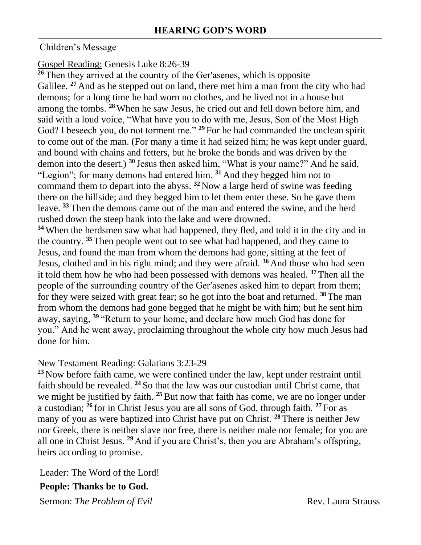#### Children's Message

#### Gospel Reading: Genesis Luke 8:26-39

**<sup>26</sup>** Then they arrived at the country of the Ger′asenes, which is opposite Galilee. <sup>27</sup> And as he stepped out on land, there met him a man from the city who had demons; for a long time he had worn no clothes, and he lived not in a house but among the tombs. **<sup>28</sup>** When he saw Jesus, he cried out and fell down before him, and said with a loud voice, "What have you to do with me, Jesus, Son of the Most High God? I beseech you, do not torment me." **<sup>29</sup>** For he had commanded the unclean spirit to come out of the man. (For many a time it had seized him; he was kept under guard, and bound with chains and fetters, but he broke the bonds and was driven by the demon into the desert.) **<sup>30</sup>** Jesus then asked him, "What is your name?" And he said, "Legion"; for many demons had entered him. **<sup>31</sup>** And they begged him not to command them to depart into the abyss. **<sup>32</sup>** Now a large herd of swine was feeding there on the hillside; and they begged him to let them enter these. So he gave them leave. **<sup>33</sup>** Then the demons came out of the man and entered the swine, and the herd rushed down the steep bank into the lake and were drowned.

**<sup>34</sup>** When the herdsmen saw what had happened, they fled, and told it in the city and in the country. **<sup>35</sup>** Then people went out to see what had happened, and they came to Jesus, and found the man from whom the demons had gone, sitting at the feet of Jesus, clothed and in his right mind; and they were afraid. **<sup>36</sup>** And those who had seen it told them how he who had been possessed with demons was healed. **<sup>37</sup>** Then all the people of the surrounding country of the Ger′asenes asked him to depart from them; for they were seized with great fear; so he got into the boat and returned. **<sup>38</sup>** The man from whom the demons had gone begged that he might be with him; but he sent him away, saying, **<sup>39</sup>** "Return to your home, and declare how much God has done for you." And he went away, proclaiming throughout the whole city how much Jesus had done for him.

#### New Testament Reading: Galatians 3:23-29

**<sup>23</sup>** Now before faith came, we were confined under the law, kept under restraint until faith should be revealed. **<sup>24</sup>** So that the law was our custodian until Christ came, that we might be justified by faith. <sup>25</sup> But now that faith has come, we are no longer under a custodian; **<sup>26</sup>** for in Christ Jesus you are all sons of God, through faith. **<sup>27</sup>** For as many of you as were baptized into Christ have put on Christ. **<sup>28</sup>** There is neither Jew nor Greek, there is neither slave nor free, there is neither male nor female; for you are all one in Christ Jesus. **<sup>29</sup>** And if you are Christ's, then you are Abraham's offspring, heirs according to promise.

Leader: The Word of the Lord!

#### **People: Thanks be to God.**

Sermon: *The Problem of Evil* Rev. Laura Strauss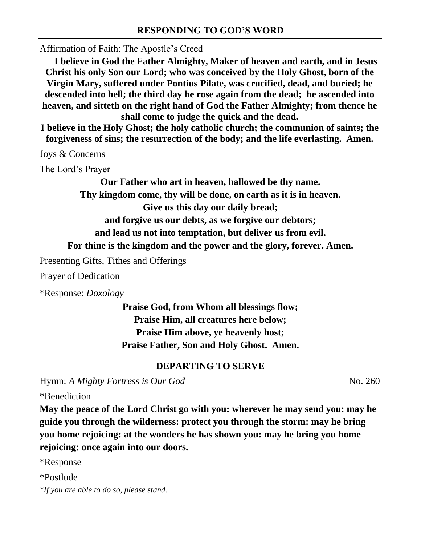Affirmation of Faith: The Apostle's Creed

**I believe in God the Father Almighty, Maker of heaven and earth, and in Jesus Christ his only Son our Lord; who was conceived by the Holy Ghost, born of the Virgin Mary, suffered under Pontius Pilate, was crucified, dead, and buried; he descended into hell; the third day he rose again from the dead; he ascended into heaven, and sitteth on the right hand of God the Father Almighty; from thence he shall come to judge the quick and the dead.**

**I believe in the Holy Ghost; the holy catholic church; the communion of saints; the forgiveness of sins; the resurrection of the body; and the life everlasting. Amen.**

Joys & Concerns

The Lord's Prayer

**Our Father who art in heaven, hallowed be thy name. Thy kingdom come, thy will be done, on earth as it is in heaven. Give us this day our daily bread; and forgive us our debts, as we forgive our debtors; and lead us not into temptation, but deliver us from evil. For thine is the kingdom and the power and the glory, forever. Amen.**

Presenting Gifts, Tithes and Offerings

Prayer of Dedication

\*Response: *Doxology* 

**Praise God, from Whom all blessings flow; Praise Him, all creatures here below; Praise Him above, ye heavenly host; Praise Father, Son and Holy Ghost. Amen.**

#### **DEPARTING TO SERVE**

Hymn: *A Mighty Fortress is Our God* No. 260

\*Benediction

**May the peace of the Lord Christ go with you: wherever he may send you: may he guide you through the wilderness: protect you through the storm: may he bring you home rejoicing: at the wonders he has shown you: may he bring you home rejoicing: once again into our doors.**

\*Response

\*Postlude

*\*If you are able to do so, please stand.*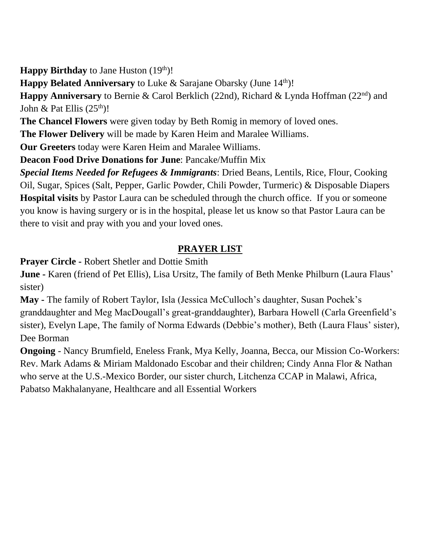**Happy Birthday** to Jane Huston (19<sup>th</sup>)!

**Happy Belated Anniversary** to Luke & Sarajane Obarsky (June 14<sup>th</sup>)!

**Happy Anniversary** to Bernie & Carol Berklich (22nd), Richard & Lynda Hoffman (22nd) and John & Pat Ellis  $(25<sup>th</sup>)!$ 

**The Chancel Flowers** were given today by Beth Romig in memory of loved ones.

**The Flower Delivery** will be made by Karen Heim and Maralee Williams.

**Our Greeters** today were Karen Heim and Maralee Williams.

**Deacon Food Drive Donations for June**: Pancake/Muffin Mix

*Special Items Needed for Refugees & Immigrants*: Dried Beans, Lentils, Rice, Flour, Cooking Oil, Sugar, Spices (Salt, Pepper, Garlic Powder, Chili Powder, Turmeric) & Disposable Diapers **Hospital visits** by Pastor Laura can be scheduled through the church office. If you or someone you know is having surgery or is in the hospital, please let us know so that Pastor Laura can be there to visit and pray with you and your loved ones.

## **PRAYER LIST**

**Prayer Circle -** Robert Shetler and Dottie Smith

**June -** Karen (friend of Pet Ellis), Lisa Ursitz, The family of Beth Menke Philburn (Laura Flaus' sister)

**May -** The family of Robert Taylor, Isla (Jessica McCulloch's daughter, Susan Pochek's granddaughter and Meg MacDougall's great-granddaughter), Barbara Howell (Carla Greenfield's sister), Evelyn Lape, The family of Norma Edwards (Debbie's mother), Beth (Laura Flaus' sister), Dee Borman

**Ongoing** - Nancy Brumfield, Eneless Frank, Mya Kelly, Joanna, Becca, our Mission Co-Workers: Rev. Mark Adams & Miriam Maldonado Escobar and their children; Cindy Anna Flor & Nathan who serve at the U.S.-Mexico Border, our sister church, Litchenza CCAP in Malawi, Africa, Pabatso Makhalanyane, Healthcare and all Essential Workers